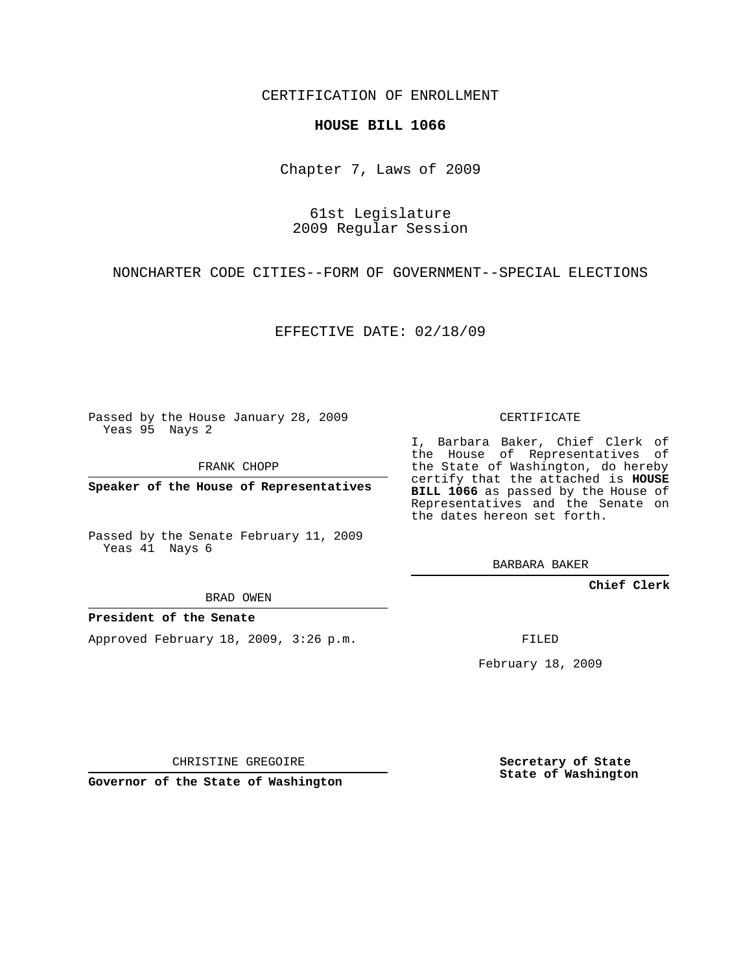CERTIFICATION OF ENROLLMENT

## **HOUSE BILL 1066**

Chapter 7, Laws of 2009

61st Legislature 2009 Regular Session

NONCHARTER CODE CITIES--FORM OF GOVERNMENT--SPECIAL ELECTIONS

EFFECTIVE DATE: 02/18/09

Passed by the House January 28, 2009 Yeas 95 Nays 2

FRANK CHOPP

**Speaker of the House of Representatives**

Passed by the Senate February 11, 2009 Yeas 41 Nays 6

BRAD OWEN

**President of the Senate**

Approved February 18, 2009, 3:26 p.m.

CERTIFICATE

I, Barbara Baker, Chief Clerk of the House of Representatives of the State of Washington, do hereby certify that the attached is **HOUSE BILL 1066** as passed by the House of Representatives and the Senate on the dates hereon set forth.

BARBARA BAKER

**Chief Clerk**

FILED

February 18, 2009

CHRISTINE GREGOIRE

**Governor of the State of Washington**

**Secretary of State State of Washington**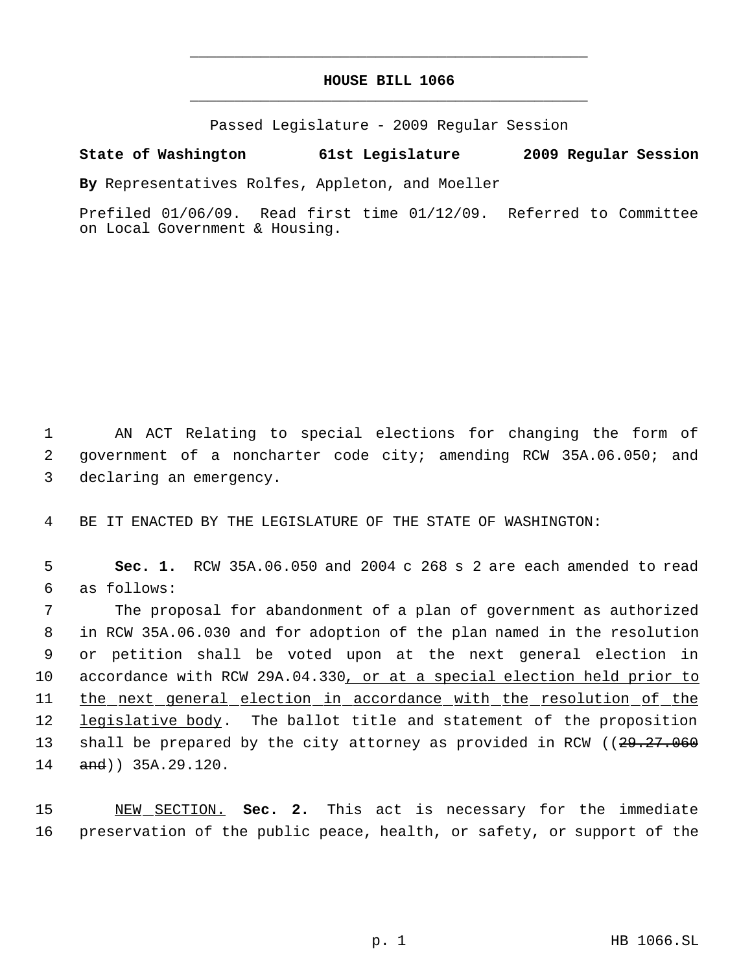## **HOUSE BILL 1066** \_\_\_\_\_\_\_\_\_\_\_\_\_\_\_\_\_\_\_\_\_\_\_\_\_\_\_\_\_\_\_\_\_\_\_\_\_\_\_\_\_\_\_\_\_

\_\_\_\_\_\_\_\_\_\_\_\_\_\_\_\_\_\_\_\_\_\_\_\_\_\_\_\_\_\_\_\_\_\_\_\_\_\_\_\_\_\_\_\_\_

Passed Legislature - 2009 Regular Session

## **State of Washington 61st Legislature 2009 Regular Session**

**By** Representatives Rolfes, Appleton, and Moeller

Prefiled 01/06/09. Read first time 01/12/09. Referred to Committee on Local Government & Housing.

 1 AN ACT Relating to special elections for changing the form of 2 government of a noncharter code city; amending RCW 35A.06.050; and 3 declaring an emergency.

4 BE IT ENACTED BY THE LEGISLATURE OF THE STATE OF WASHINGTON:

 5 **Sec. 1.** RCW 35A.06.050 and 2004 c 268 s 2 are each amended to read 6 as follows:

 The proposal for abandonment of a plan of government as authorized in RCW 35A.06.030 and for adoption of the plan named in the resolution or petition shall be voted upon at the next general election in accordance with RCW 29A.04.330, or at a special election held prior to the next general election in accordance with the resolution of the 12 legislative body. The ballot title and statement of the proposition 13 shall be prepared by the city attorney as provided in RCW ((29.27.060) 14 and)) 35A.29.120.

15 NEW SECTION. **Sec. 2.** This act is necessary for the immediate 16 preservation of the public peace, health, or safety, or support of the